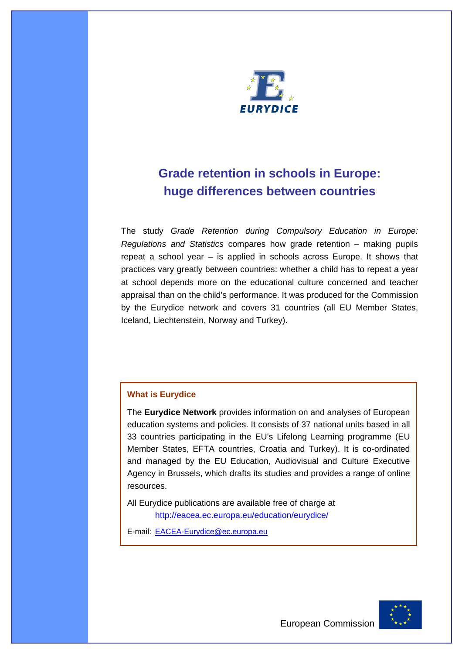

# **Grade retention in schools in Europe: huge differences between countries**

The study *Grade Retention during Compulsory Education in Europe: Regulations and Statistics* compares how grade retention – making pupils repeat a school year – is applied in schools across Europe. It shows that practices vary greatly between countries: whether a child has to repeat a year at school depends more on the educational culture concerned and teacher appraisal than on the child's performance. It was produced for the Commission by the Eurydice network and covers 31 countries (all EU Member States, Iceland, Liechtenstein, Norway and Turkey).

# **What is Eurydice**

The **Eurydice Network** provides information on and analyses of European education systems and policies. It consists of 37 national units based in all 33 countries participating in the EU's Lifelong Learning programme (EU Member States, EFTA countries, Croatia and Turkey). It is co-ordinated and managed by the EU Education, Audiovisual and Culture Executive Agency in Brussels, which drafts its studies and provides a range of online resources.

All Eurydice publications are available free of charge at http://eacea.ec.europa.eu/education/eurydice/

E-mail: EACEA-Eurydice@ec.europa.eu

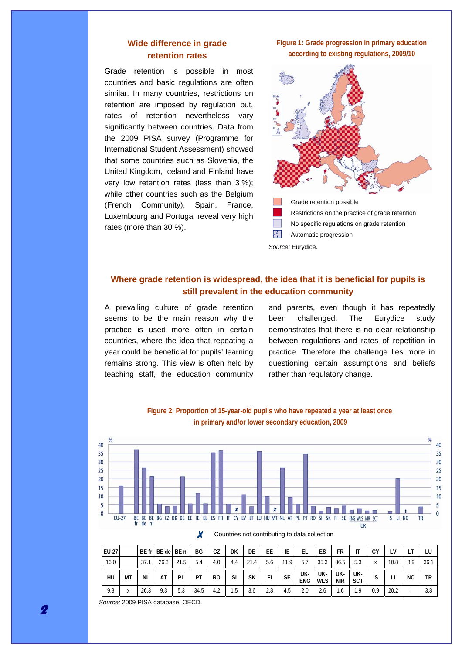# **Wide difference in grade retention rates**

Grade retention is possible in most countries and basic regulations are often similar. In many countries, restrictions on retention are imposed by regulation but, rates of retention nevertheless vary significantly between countries. Data from the 2009 PISA survey (Programme for International Student Assessment) showed that some countries such as Slovenia, the United Kingdom, Iceland and Finland have very low retention rates (less than 3 %); while other countries such as the Belgium (French Community), Spain, France, Luxembourg and Portugal reveal very high rates (more than 30 %).

**Figure 1: Grade progression in primary education according to existing regulations, 2009/10** 



瘏 Automatic progression

*Source:* Eurydice.

# **Where grade retention is widespread, the idea that it is beneficial for pupils is still prevalent in the education community**

A prevailing culture of grade retention seems to be the main reason why the practice is used more often in certain countries, where the idea that repeating a year could be beneficial for pupils' learning remains strong. This view is often held by teaching staff, the education community and parents, even though it has repeatedly been challenged. The Eurydice study demonstrates that there is no clear relationship between regulations and rates of repetition in practice. Therefore the challenge lies more in questioning certain assumptions and beliefs rather than regulatory change.



**Figure 2: Proportion of 15-year-old pupils who have repeated a year at least once** 

| EU-27 |           |           | BE fr BE de BE nl |      | BG   | CZ             | DK  | DE         | EE  | ΙE        | EL                | ES                | FR                |                   | ΩV           |      |     |     |
|-------|-----------|-----------|-------------------|------|------|----------------|-----|------------|-----|-----------|-------------------|-------------------|-------------------|-------------------|--------------|------|-----|-----|
| 16.0  |           | 37.1      | 26.3              | 21.5 | 5.4  | 4.0            | 4.4 | 21<br>21.4 | 5.6 | 11.9      |                   | 35.3              | 36.5              | 5.3               | $\mathsf{v}$ | 10.8 | 3.9 | 36. |
| HU    | МT        | <b>NL</b> | AT                | PL   | PT   | R <sub>0</sub> | SI  | SΚ         | FI  | <b>SE</b> | UK-<br><b>ENG</b> | UK-<br><b>WLS</b> | UK-<br><b>NIR</b> | UK-<br><b>SCT</b> | IS           |      | NO  | ΤR  |
| 9.8   | $\lambda$ | 26.3      | 9.3               | 5.3  | 34.5 | 4.2            | 1.5 | 3.6        | 2.8 | 4.5       |                   |                   | l.b               | ۰.9               | 0.9          | 20.2 |     | 3.8 |

Countries not contributing to data collection

*Source:* 2009 PISA database, OECD.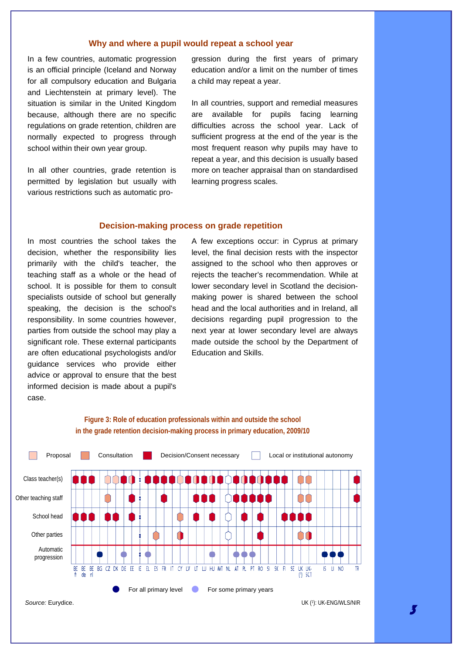#### **Why and where a pupil would repeat a school year**

In a few countries, automatic progression is an official principle (Iceland and Norway for all compulsory education and Bulgaria and Liechtenstein at primary level). The situation is similar in the United Kingdom because, although there are no specific regulations on grade retention, children are normally expected to progress through school within their own year group.

In all other countries, grade retention is permitted by legislation but usually with various restrictions such as automatic progression during the first years of primary education and/or a limit on the number of times a child may repeat a year.

In all countries, support and remedial measures are available for pupils facing learning difficulties across the school year. Lack of sufficient progress at the end of the year is the most frequent reason why pupils may have to repeat a year, and this decision is usually based more on teacher appraisal than on standardised learning progress scales.

### **Decision-making process on grade repetition**

In most countries the school takes the decision, whether the responsibility lies primarily with the child's teacher, the teaching staff as a whole or the head of school. It is possible for them to consult specialists outside of school but generally speaking, the decision is the school's responsibility. In some countries however, parties from outside the school may play a significant role. These external participants are often educational psychologists and/or guidance services who provide either advice or approval to ensure that the best informed decision is made about a pupil's case.

A few exceptions occur: in Cyprus at primary level, the final decision rests with the inspector assigned to the school who then approves or rejects the teacher's recommendation. While at lower secondary level in Scotland the decisionmaking power is shared between the school head and the local authorities and in Ireland, all decisions regarding pupil progression to the next year at lower secondary level are always made outside the school by the Department of Education and Skills.



## **Figure 3: Role of education professionals within and outside the school in the grade retention decision-making process in primary education, 2009/10**